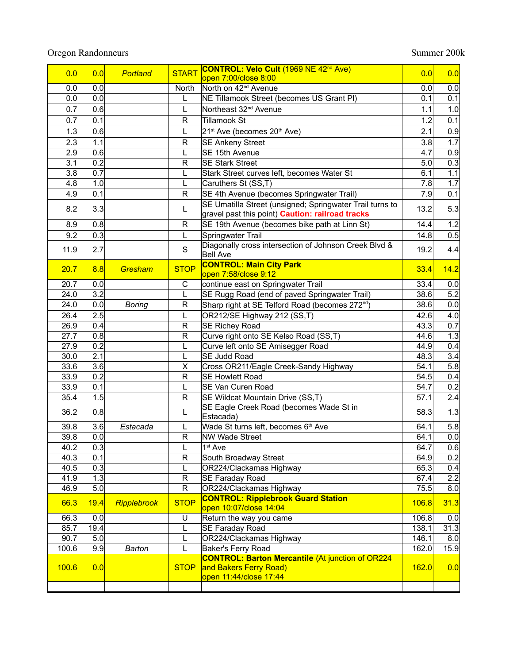## Oregon Randonneurs Summer 200k

| 0.0   | 0.0  | Portland      | <b>START</b> | CONTROL: Velo Cult (1969 NE 42 <sup>nd</sup> Ave)                        | 0.0   | 0.0  |
|-------|------|---------------|--------------|--------------------------------------------------------------------------|-------|------|
|       |      |               |              | open 7:00/close 8:00                                                     |       |      |
| 0.0   | 0.0  |               | North        | North on 42 <sup>nd</sup> Avenue                                         | 0.0   | 0.0  |
| 0.0   | 0.0  |               | L            | NE Tillamook Street (becomes US Grant PI)                                | 0.1   | 0.1  |
| 0.7   | 0.6  |               | L            | Northeast 32 <sup>nd</sup> Avenue                                        | 1.1   | 1.0  |
| 0.7   | 0.1  |               | R            | <b>Tillamook St</b>                                                      | 1.2   | 0.1  |
| 1.3   | 0.6  |               | L            | 21 <sup>st</sup> Ave (becomes 20 <sup>th</sup> Ave)                      | 2.1   | 0.9  |
| 2.3   | 1.1  |               | R            | <b>SE Ankeny Street</b>                                                  | 3.8   | 1.7  |
| 2.9   | 0.6  |               | L            | SE 15th Avenue                                                           | 4.7   | 0.9  |
| 3.1   | 0.2  |               | R            | <b>SE Stark Street</b>                                                   | 5.0   | 0.3  |
| 3.8   | 0.7  |               | L            | Stark Street curves left, becomes Water St                               | 6.1   | 1.1  |
| 4.8   | 1.0  |               | L            | Caruthers St (SS,T)                                                      | 7.8   | 1.7  |
| 4.9   | 0.1  |               | R            | SE 4th Avenue (becomes Springwater Trail)                                | 7.9   | 0.1  |
|       |      |               |              | SE Umatilla Street (unsigned; Springwater Trail turns to                 |       |      |
| 8.2   | 3.3  |               | L            | gravel past this point) <b>Caution: railroad tracks</b>                  | 13.2  | 5.3  |
| 8.9   | 0.8  |               | R            | SE 19th Avenue (becomes bike path at Linn St)                            | 14.4  | 1.2  |
| 9.2   | 0.3  |               | L            | Springwater Trail                                                        | 14.8  | 0.5  |
| 11.9  | 2.7  |               | $\mathbf S$  | Diagonally cross intersection of Johnson Creek Blvd &<br><b>Bell Ave</b> | 19.2  | 4.4  |
|       |      |               |              | <b>CONTROL: Main City Park</b>                                           |       |      |
| 20.7  | 8.8  | Gresham       | <b>STOP</b>  | open 7:58/close 9:12                                                     | 33.4  | 14.2 |
| 20.7  | 0.0  |               | C            | continue east on Springwater Trail                                       | 33.4  | 0.0  |
| 24.0  | 3.2  |               | Г            | SE Rugg Road (end of paved Springwater Trail)                            | 38.6  | 5.2  |
| 24.0  | 0.0  | <b>Boring</b> | R            | Sharp right at SE Telford Road (becomes 272 <sup>nd</sup> )              | 38.6  | 0.0  |
| 26.4  | 2.5  |               | L            | OR212/SE Highway 212 (SS,T)                                              | 42.6  | 4.0  |
| 26.9  | 0.4  |               | R            | <b>SE Richey Road</b>                                                    | 43.3  | 0.7  |
| 27.7  | 0.8  |               | R            | Curve right onto SE Kelso Road (SS,T)                                    | 44.6  | 1.3  |
| 27.9  | 0.2  |               | L            | Curve left onto SE Amisegger Road                                        | 44.9  | 0.4  |
| 30.0  | 2.1  |               | L            | SE Judd Road                                                             | 48.3  | 3.4  |
| 33.6  | 3.6  |               | X            | Cross OR211/Eagle Creek-Sandy Highway                                    | 54.1  | 5.8  |
| 33.9  | 0.2  |               | R            | <b>SE Howlett Road</b>                                                   | 54.5  | 0.4  |
| 33.9  | 0.1  |               | L            | <b>SE Van Curen Road</b>                                                 | 54.7  | 0.2  |
| 35.4  | 1.5  |               | R            | SE Wildcat Mountain Drive (SS,T)                                         | 57.1  | 2.4  |
|       |      |               |              | SE Eagle Creek Road (becomes Wade St in                                  |       |      |
| 36.2  | 0.8  |               | L            | Estacada)                                                                | 58.3  | 1.3  |
| 39.8  | 3.6  | Estacada      | L            | Wade St turns left, becomes 6 <sup>th</sup> Ave                          | 64.1  | 5.8  |
| 39.8  | 0.0  |               | R            | <b>NW Wade Street</b>                                                    | 64.1  | 0.0  |
| 40.2  | 0.3  |               | L            | 1 <sup>st</sup> Ave                                                      | 64.7  | 0.6  |
| 40.3  | 0.1  |               | R            | South Broadway Street                                                    | 64.9  | 0.2  |
| 40.5  | 0.3  |               | L            | OR224/Clackamas Highway                                                  | 65.3  | 0.4  |
| 41.9  | 1.3  |               | $\mathsf{R}$ | SE Faraday Road                                                          | 67.4  | 2.2  |
| 46.9  | 5.0  |               | R            | OR224/Clackamas Highway                                                  | 75.5  | 8.0  |
| 66.3  | 19.4 | Ripplebrook   | <b>STOP</b>  | <b>CONTROL: Ripplebrook Guard Station</b><br>open 10:07/close 14:04      | 106.8 | 31.3 |
| 66.3  | 0.0  |               | U            | Return the way you came                                                  | 106.8 | 0.0  |
| 85.7  | 19.4 |               | L            | SE Faraday Road                                                          | 138.1 | 31.3 |
| 90.7  | 5.0  |               | L            | OR224/Clackamas Highway                                                  | 146.1 | 8.0  |
| 100.6 | 9.9  | <b>Barton</b> | L            | Baker's Ferry Road                                                       | 162.0 | 15.9 |
|       |      |               |              | <b>CONTROL: Barton Mercantile (At junction of OR224</b>                  |       |      |
| 100.6 | 0.0  |               | <b>STOP</b>  | and Bakers Ferry Road)                                                   | 162.0 | 0.0  |
|       |      |               |              | open 11:44/close 17:44                                                   |       |      |
|       |      |               |              |                                                                          |       |      |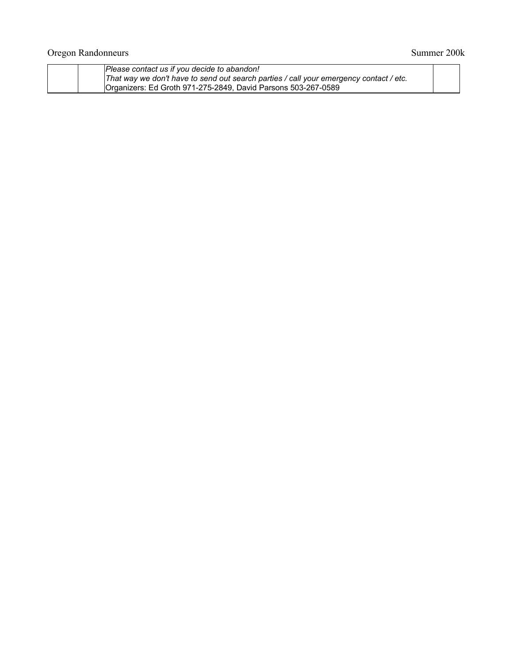| Please contact us if you decide to abandon!                                            |  |  |  |  |
|----------------------------------------------------------------------------------------|--|--|--|--|
| That way we don't have to send out search parties / call your emergency contact / etc. |  |  |  |  |
| Organizers: Ed Groth 971-275-2849. David Parsons 503-267-0589                          |  |  |  |  |